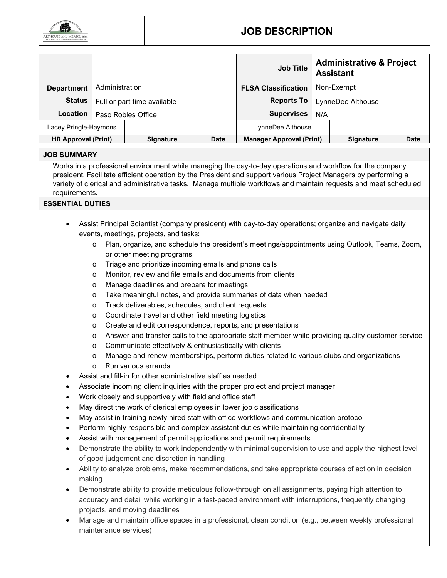

## **JOB DESCRIPTION**

|                            |                             |           |             | <b>Job Title</b>                |                   | <b>Administrative &amp; Project</b><br><b>Assistant</b> |      |
|----------------------------|-----------------------------|-----------|-------------|---------------------------------|-------------------|---------------------------------------------------------|------|
| <b>Department</b>          | Administration              |           |             | <b>FLSA Classification</b>      | Non-Exempt        |                                                         |      |
| <b>Status</b>              | Full or part time available |           |             | Reports To                      | LynneDee Althouse |                                                         |      |
| <b>Location</b>            | Paso Robles Office          |           |             | <b>Supervises</b>               | N/A               |                                                         |      |
| Lacey Pringle-Haymons      |                             |           |             | LynneDee Althouse               |                   |                                                         |      |
| <b>HR Approval (Print)</b> |                             | Signature | <b>Date</b> | <b>Manager Approval (Print)</b> |                   | <b>Signature</b>                                        | Date |

### **JOB SUMMARY**

Works in a professional environment while managing the day-to-day operations and workflow for the company president. Facilitate efficient operation by the President and support various Project Managers by performing a variety of clerical and administrative tasks. Manage multiple workflows and maintain requests and meet scheduled requirements.

### **ESSENTIAL DUTIES**

- Assist Principal Scientist (company president) with day-to-day operations; organize and navigate daily events, meetings, projects, and tasks:
	- o Plan, organize, and schedule the president's meetings/appointments using Outlook, Teams, Zoom, or other meeting programs
	- o Triage and prioritize incoming emails and phone calls
	- o Monitor, review and file emails and documents from clients
	- o Manage deadlines and prepare for meetings
	- o Take meaningful notes, and provide summaries of data when needed
	- o Track deliverables, schedules, and client requests
	- o Coordinate travel and other field meeting logistics
	- o Create and edit correspondence, reports, and presentations
	- o Answer and transfer calls to the appropriate staff member while providing quality customer service
	- o Communicate effectively & enthusiastically with clients
	- o Manage and renew memberships, perform duties related to various clubs and organizations
	- o Run various errands
- Assist and fill-in for other administrative staff as needed
- Associate incoming client inquiries with the proper project and project manager
- Work closely and supportively with field and office staff
- May direct the work of clerical employees in lower job classifications
- May assist in training newly hired staff with office workflows and communication protocol
- Perform highly responsible and complex assistant duties while maintaining confidentiality
- Assist with management of permit applications and permit requirements
- Demonstrate the ability to work independently with minimal supervision to use and apply the highest level of good judgement and discretion in handling
- Ability to analyze problems, make recommendations, and take appropriate courses of action in decision making
- Demonstrate ability to provide meticulous follow-through on all assignments, paying high attention to accuracy and detail while working in a fast-paced environment with interruptions, frequently changing projects, and moving deadlines
- Manage and maintain office spaces in a professional, clean condition (e.g., between weekly professional maintenance services)